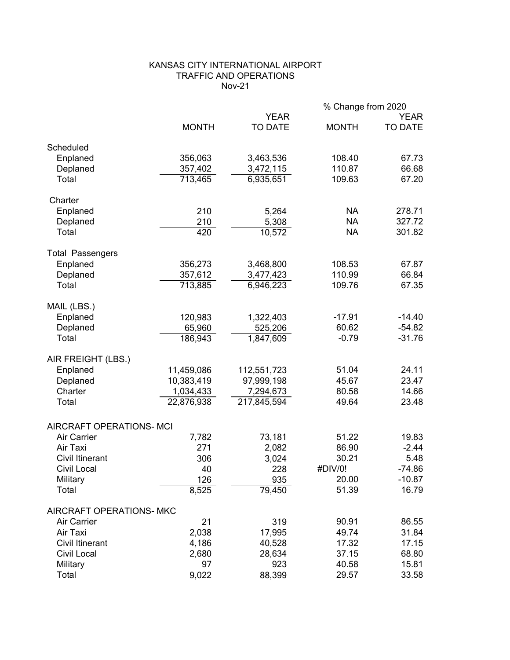# KANSAS CITY INTERNATIONAL AIRPORT TRAFFIC AND OPERATIONS Nov-21

|                          |              |                               | % Change from 2020 |                        |
|--------------------------|--------------|-------------------------------|--------------------|------------------------|
|                          | <b>MONTH</b> | <b>YEAR</b><br><b>TO DATE</b> | <b>MONTH</b>       | <b>YEAR</b><br>TO DATE |
| Scheduled                |              |                               |                    |                        |
| Enplaned                 | 356,063      | 3,463,536                     | 108.40             | 67.73                  |
| Deplaned                 | 357,402      | 3,472,115                     | 110.87             | 66.68                  |
| Total                    | 713,465      | 6,935,651                     | 109.63             | 67.20                  |
| Charter                  |              |                               |                    |                        |
| Enplaned                 | 210          | 5,264                         | <b>NA</b>          | 278.71                 |
| Deplaned                 | 210          | 5,308                         | <b>NA</b>          | 327.72                 |
| Total                    | 420          | 10,572                        | <b>NA</b>          | 301.82                 |
| <b>Total Passengers</b>  |              |                               |                    |                        |
| Enplaned                 | 356,273      | 3,468,800                     | 108.53             | 67.87                  |
| Deplaned                 | 357,612      | 3,477,423                     | 110.99             | 66.84                  |
| Total                    | 713,885      | 6,946,223                     | 109.76             | 67.35                  |
| MAIL (LBS.)              |              |                               |                    |                        |
| Enplaned                 | 120,983      | 1,322,403                     | $-17.91$           | $-14.40$               |
| Deplaned                 | 65,960       | 525,206                       | 60.62              | $-54.82$               |
| Total                    | 186,943      | 1,847,609                     | $-0.79$            | $-31.76$               |
| AIR FREIGHT (LBS.)       |              |                               |                    |                        |
| Enplaned                 | 11,459,086   | 112,551,723                   | 51.04              | 24.11                  |
| Deplaned                 | 10,383,419   | 97,999,198                    | 45.67              | 23.47                  |
| Charter                  | 1,034,433    | 7,294,673                     | 80.58              | 14.66                  |
| Total                    | 22,876,938   | 217,845,594                   | 49.64              | 23.48                  |
| AIRCRAFT OPERATIONS- MCI |              |                               |                    |                        |
| Air Carrier              | 7,782        | 73,181                        | 51.22              | 19.83                  |
| Air Taxi                 | 271          | 2,082                         | 86.90              | $-2.44$                |
| <b>Civil Itinerant</b>   | 306          | 3,024                         | 30.21              | 5.48                   |
| Civil Local              | 40           | 228                           | #DIV/0!            | $-74.86$               |
| Military                 | 126          | 935                           | 20.00              | $-10.87$               |
| Total                    | 8,525        | 79,450                        | 51.39              | 16.79                  |
| AIRCRAFT OPERATIONS- MKC |              |                               |                    |                        |
| Air Carrier              | 21           | 319                           | 90.91              | 86.55                  |
| Air Taxi                 | 2,038        | 17,995                        | 49.74              | 31.84                  |
| <b>Civil Itinerant</b>   | 4,186        | 40,528                        | 17.32              | 17.15                  |
| Civil Local              | 2,680        | 28,634                        | 37.15              | 68.80                  |
| Military                 | 97           | 923                           | 40.58              | 15.81                  |
| Total                    | 9,022        | 88,399                        | 29.57              | 33.58                  |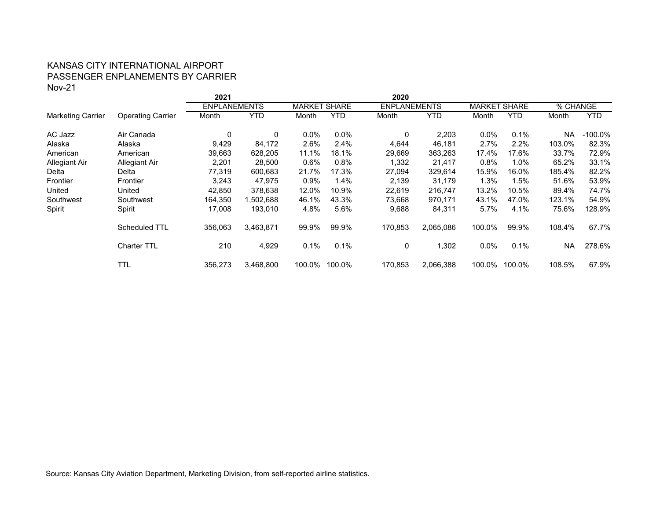## KANSAS CITY INTERNATIONAL AIRPORT PASSENGER ENPLANEMENTS BY CARRIER Nov-21

|                          |                          | 2021                |           |                     |            | 2020    |                     |         |                        |           |            |
|--------------------------|--------------------------|---------------------|-----------|---------------------|------------|---------|---------------------|---------|------------------------|-----------|------------|
|                          |                          | <b>ENPLANEMENTS</b> |           | <b>MARKET SHARE</b> |            |         | <b>ENPLANEMENTS</b> |         | <b>MARKET</b><br>SHARE |           | % CHANGE   |
| <b>Marketing Carrier</b> | <b>Operating Carrier</b> | Month               | YTD       | Month               | <b>YTD</b> | Month   | YTD                 | Month   | <b>YTD</b>             | Month     | <b>YTD</b> |
| AC Jazz                  | Air Canada               | 0                   | 0         | $0.0\%$             | $0.0\%$    | 0       | 2,203               | 0.0%    | 0.1%                   | <b>NA</b> | $-100.0\%$ |
| Alaska                   | Alaska                   | 9,429               | 84,172    | 2.6%                | 2.4%       | 4,644   | 46,181              | 2.7%    | 2.2%                   | 103.0%    | 82.3%      |
| American                 | American                 | 39,663              | 628,205   | 11.1%               | 18.1%      | 29,669  | 363,263             | 17.4%   | 17.6%                  | 33.7%     | 72.9%      |
| Allegiant Air            | Allegiant Air            | 2,201               | 28,500    | 0.6%                | 0.8%       | 1,332   | 21,417              | 0.8%    | $1.0\%$                | 65.2%     | 33.1%      |
| Delta                    | Delta                    | 77,319              | 600,683   | 21.7%               | 17.3%      | 27,094  | 329,614             | 15.9%   | 16.0%                  | 185.4%    | 82.2%      |
| Frontier                 | Frontier                 | 3,243               | 47,975    | 0.9%                | 1.4%       | 2,139   | 31,179              | 1.3%    | $1.5\%$                | 51.6%     | 53.9%      |
| United                   | United                   | 42,850              | 378,638   | 12.0%               | 10.9%      | 22,619  | 216,747             | 13.2%   | 10.5%                  | 89.4%     | 74.7%      |
| Southwest                | Southwest                | 164,350             | 1,502,688 | 46.1%               | 43.3%      | 73,668  | 970,171             | 43.1%   | 47.0%                  | 123.1%    | 54.9%      |
| Spirit                   | Spirit                   | 17,008              | 193,010   | 4.8%                | 5.6%       | 9,688   | 84,311              | 5.7%    | 4.1%                   | 75.6%     | 128.9%     |
|                          | Scheduled TTL            | 356,063             | 3,463,871 | 99.9%               | 99.9%      | 170,853 | 2,065,086           | 100.0%  | 99.9%                  | 108.4%    | 67.7%      |
|                          | <b>Charter TTL</b>       | 210                 | 4,929     | 0.1%                | 0.1%       | 0       | 1,302               | $0.0\%$ | 0.1%                   | <b>NA</b> | 278.6%     |
|                          | TTL                      | 356,273             | 3,468,800 | 100.0%              | 100.0%     | 170,853 | 2,066,388           | 100.0%  | 100.0%                 | 108.5%    | 67.9%      |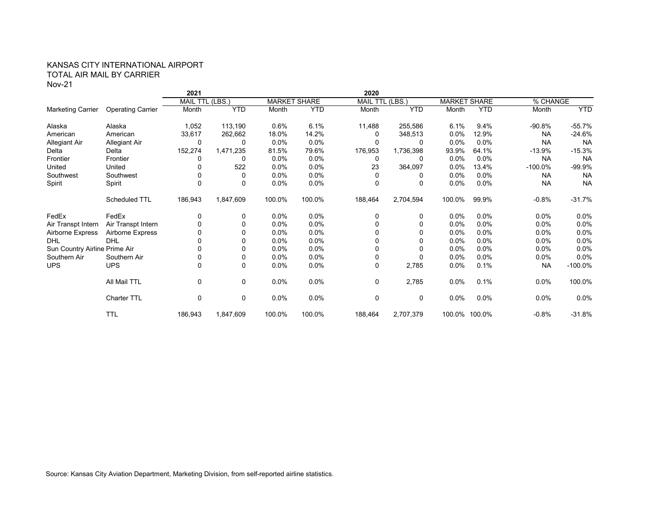### KANSAS CITY INTERNATIONAL AIRPORT TOTAL AIR MAIL BY CARRIER Nov-21

|                               |                          | 2021           |              |         |                     | 2020            |            |         |                     |            |            |
|-------------------------------|--------------------------|----------------|--------------|---------|---------------------|-----------------|------------|---------|---------------------|------------|------------|
|                               |                          | MAIL TTL (LBS. |              |         | <b>MARKET SHARE</b> | MAIL TTL (LBS.) |            |         | <b>MARKET SHARE</b> | % CHANGE   |            |
| <b>Marketing Carrier</b>      | <b>Operating Carrier</b> | Month          | <b>YTD</b>   | Month   | <b>YTD</b>          | Month           | <b>YTD</b> | Month   | <b>YTD</b>          | Month      | <b>YTD</b> |
| Alaska                        | Alaska                   | 1,052          | 113,190      | 0.6%    | 6.1%                | 11,488          | 255,586    | 6.1%    | 9.4%                | $-90.8%$   | $-55.7%$   |
| American                      | American                 | 33,617         | 262,662      | 18.0%   | 14.2%               | 0               | 348,513    | 0.0%    | 12.9%               | <b>NA</b>  | $-24.6%$   |
| Allegiant Air                 | Allegiant Air            | 0              | 0            | $0.0\%$ | $0.0\%$             | $\Omega$        | 0          | 0.0%    | $0.0\%$             | <b>NA</b>  | <b>NA</b>  |
| Delta                         | Delta                    | 152,274        | 1,471,235    | 81.5%   | 79.6%               | 176,953         | 1,736,398  | 93.9%   | 64.1%               | $-13.9%$   | $-15.3%$   |
| Frontier                      | Frontier                 | 0              | 0            | $0.0\%$ | $0.0\%$             | 0               | 0          | $0.0\%$ | $0.0\%$             | <b>NA</b>  | <b>NA</b>  |
| United                        | United                   | 0              | 522          | $0.0\%$ | $0.0\%$             | 23              | 364,097    | 0.0%    | 13.4%               | $-100.0\%$ | $-99.9%$   |
| Southwest                     | Southwest                |                | 0            | $0.0\%$ | $0.0\%$             | 0               | 0          | 0.0%    | 0.0%                | <b>NA</b>  | <b>NA</b>  |
| Spirit                        | Spirit                   | $\Omega$       | $\Omega$     | $0.0\%$ | $0.0\%$             | $\Omega$        | $\Omega$   | $0.0\%$ | $0.0\%$             | <b>NA</b>  | <b>NA</b>  |
|                               | Scheduled TTL            | 186,943        | 1,847,609    | 100.0%  | 100.0%              | 188,464         | 2,704,594  | 100.0%  | 99.9%               | $-0.8%$    | $-31.7%$   |
| FedEx                         | FedEx                    | 0              | 0            | $0.0\%$ | $0.0\%$             | 0               | 0          | $0.0\%$ | $0.0\%$             | $0.0\%$    | $0.0\%$    |
| Air Transpt Intern            | Air Transpt Intern       | $\mathbf 0$    | $\Omega$     | $0.0\%$ | $0.0\%$             | 0               | $\Omega$   | 0.0%    | 0.0%                | $0.0\%$    | 0.0%       |
| Airborne Express              | Airborne Express         |                | 0            | $0.0\%$ | $0.0\%$             |                 | $\Omega$   | 0.0%    | 0.0%                | $0.0\%$    | 0.0%       |
| <b>DHL</b>                    | <b>DHL</b>               | <sup>0</sup>   | <sup>0</sup> | $0.0\%$ | $0.0\%$             | 0               | 0          | 0.0%    | $0.0\%$             | $0.0\%$    | $0.0\%$    |
| Sun Country Airline Prime Air |                          |                |              | $0.0\%$ | $0.0\%$             | 0               | $\Omega$   | 0.0%    | 0.0%                | $0.0\%$    | 0.0%       |
| Southern Air                  | Southern Air             | 0              | 0            | $0.0\%$ | $0.0\%$             | 0               | $\Omega$   | 0.0%    | $0.0\%$             | $0.0\%$    | $0.0\%$    |
| <b>UPS</b>                    | <b>UPS</b>               | $\mathbf 0$    | 0            | $0.0\%$ | $0.0\%$             | $\mathbf 0$     | 2,785      | 0.0%    | 0.1%                | <b>NA</b>  | $-100.0\%$ |
|                               | All Mail TTL             | 0              | 0            | 0.0%    | 0.0%                | $\mathbf 0$     | 2,785      | 0.0%    | 0.1%                | 0.0%       | 100.0%     |
|                               | Charter TTL              | 0              | 0            | 0.0%    | 0.0%                | $\mathbf 0$     | 0          | $0.0\%$ | $0.0\%$             | $0.0\%$    | $0.0\%$    |
|                               | <b>TTL</b>               | 186,943        | 1,847,609    | 100.0%  | 100.0%              | 188,464         | 2,707,379  |         | 100.0% 100.0%       | $-0.8%$    | $-31.8%$   |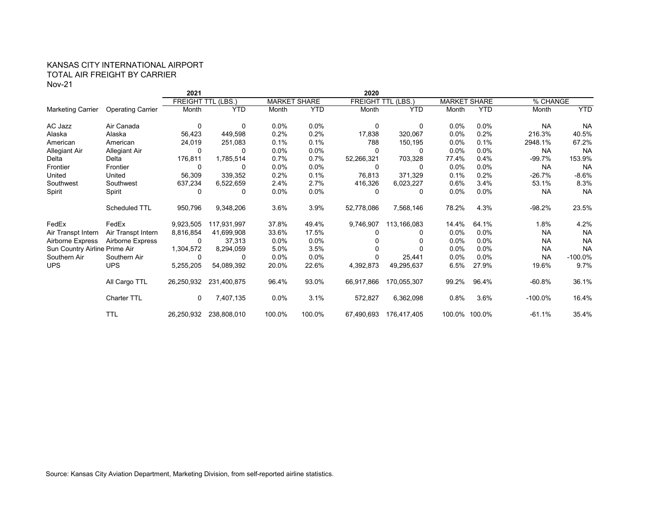### KANSAS CITY INTERNATIONAL AIRPORT TOTAL AIR FREIGHT BY CARRIER Nov-21

|                               |                          | 2021       |                           |         |                     | 2020               |             |         |                     |            |            |
|-------------------------------|--------------------------|------------|---------------------------|---------|---------------------|--------------------|-------------|---------|---------------------|------------|------------|
|                               |                          |            | <b>FREIGHT TTL (LBS.)</b> |         | <b>MARKET SHARE</b> | <b>FREIGHT TTL</b> | (LES.)      |         | <b>MARKET SHARE</b> | % CHANGE   |            |
| <b>Marketing Carrier</b>      | <b>Operating Carrier</b> | Month      | <b>YTD</b>                | Month   | <b>YTD</b>          | Month              | <b>YTD</b>  | Month   | <b>YTD</b>          | Month      | <b>YTD</b> |
| AC Jazz                       | Air Canada               | 0          | 0                         | $0.0\%$ | $0.0\%$             | 0                  | 0           | $0.0\%$ | 0.0%                | <b>NA</b>  | <b>NA</b>  |
| Alaska                        | Alaska                   | 56,423     | 449,598                   | 0.2%    | 0.2%                | 17,838             | 320,067     | $0.0\%$ | 0.2%                | 216.3%     | 40.5%      |
| American                      | American                 | 24,019     | 251,083                   | 0.1%    | 0.1%                | 788                | 150,195     | 0.0%    | 0.1%                | 2948.1%    | 67.2%      |
| <b>Allegiant Air</b>          | Allegiant Air            | 0          | 0                         | $0.0\%$ | $0.0\%$             | 0                  | 0           | $0.0\%$ | 0.0%                | <b>NA</b>  | <b>NA</b>  |
| Delta                         | Delta                    | 176,811    | 1,785,514                 | 0.7%    | 0.7%                | 52,266,321         | 703,328     | 77.4%   | 0.4%                | $-99.7%$   | 153.9%     |
| Frontier                      | Frontier                 | $\Omega$   | O                         | 0.0%    | $0.0\%$             | 0                  | 0           | 0.0%    | 0.0%                | <b>NA</b>  | <b>NA</b>  |
| United                        | United                   | 56,309     | 339,352                   | 0.2%    | 0.1%                | 76,813             | 371,329     | 0.1%    | 0.2%                | $-26.7%$   | $-8.6%$    |
| Southwest                     | Southwest                | 637,234    | 6,522,659                 | 2.4%    | 2.7%                | 416,326            | 6,023,227   | 0.6%    | 3.4%                | 53.1%      | 8.3%       |
| Spirit                        | Spirit                   | 0          | 0                         | $0.0\%$ | $0.0\%$             | 0                  | 0           | 0.0%    | 0.0%                | <b>NA</b>  | <b>NA</b>  |
|                               | Scheduled TTL            | 950,796    | 9,348,206                 | 3.6%    | 3.9%                | 52,778,086         | 7,568,146   | 78.2%   | 4.3%                | $-98.2%$   | 23.5%      |
| FedEx                         | FedEx                    | 9,923,505  | 117,931,997               | 37.8%   | 49.4%               | 9,746,907          | 113,166,083 | 14.4%   | 64.1%               | 1.8%       | 4.2%       |
| Air Transpt Intern            | Air Transpt Intern       | 8,816,854  | 41,699,908                | 33.6%   | 17.5%               | 0                  | 0           | $0.0\%$ | 0.0%                | <b>NA</b>  | <b>NA</b>  |
| Airborne Express              | Airborne Express         | 0          | 37,313                    | $0.0\%$ | $0.0\%$             | 0                  | 0           | $0.0\%$ | 0.0%                | <b>NA</b>  | <b>NA</b>  |
| Sun Country Airline Prime Air |                          | 1,304,572  | 8,294,059                 | 5.0%    | 3.5%                |                    |             | $0.0\%$ | 0.0%                | <b>NA</b>  | <b>NA</b>  |
| Southern Air                  | Southern Air             | 0          | 0                         | $0.0\%$ | $0.0\%$             | 0                  | 25,441      | $0.0\%$ | 0.0%                | <b>NA</b>  | $-100.0%$  |
| <b>UPS</b>                    | <b>UPS</b>               | 5,255,205  | 54,089,392                | 20.0%   | 22.6%               | 4,392,873          | 49,295,637  | 6.5%    | 27.9%               | 19.6%      | 9.7%       |
|                               | All Cargo TTL            | 26,250,932 | 231,400,875               | 96.4%   | 93.0%               | 66,917,866         | 170,055,307 | 99.2%   | 96.4%               | $-60.8%$   | 36.1%      |
|                               | <b>Charter TTL</b>       | 0          | 7,407,135                 | 0.0%    | 3.1%                | 572,827            | 6,362,098   | 0.8%    | 3.6%                | $-100.0\%$ | 16.4%      |
|                               | <b>TTL</b>               | 26,250,932 | 238,808,010               | 100.0%  | 100.0%              | 67,490,693         | 176,417,405 |         | 100.0% 100.0%       | -61.1%     | 35.4%      |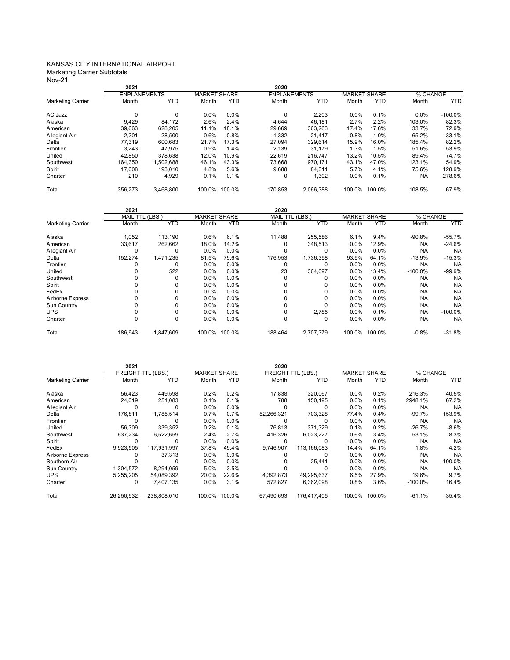#### KANSAS CITY INTERNATIONAL AIRPORT Marketing Carrier Subtotals

Nov-21

|                          | 2021                   |             |                     |            | 2020                   |             |                     |            |           |            |
|--------------------------|------------------------|-------------|---------------------|------------|------------------------|-------------|---------------------|------------|-----------|------------|
|                          | <b>ENPLANEMENTS</b>    |             | <b>MARKET SHARE</b> |            | <b>ENPLANEMENTS</b>    |             | <b>MARKET SHARE</b> |            | % CHANGE  |            |
| <b>Marketing Carrier</b> | Month                  | <b>YTD</b>  | Month               | <b>YTD</b> | Month                  | <b>YTD</b>  | Month               | <b>YTD</b> | Month     | <b>YTD</b> |
| AC Jazz                  | $\mathbf 0$            | 0           | 0.0%                | 0.0%       | 0                      | 2,203       | 0.0%                | 0.1%       | 0.0%      | $-100.0%$  |
| Alaska                   | 9,429                  | 84,172      | 2.6%                | 2.4%       | 4,644                  | 46,181      | 2.7%                | 2.2%       | 103.0%    | 82.3%      |
| American                 | 39,663                 | 628,205     | 11.1%               | 18.1%      | 29.669                 | 363,263     | 17.4%               | 17.6%      | 33.7%     | 72.9%      |
| Allegiant Air            | 2,201                  | 28,500      | 0.6%                | 0.8%       | 1,332                  | 21,417      | 0.8%                | 1.0%       | 65.2%     | 33.1%      |
| Delta                    | 77,319                 | 600,683     | 21.7%               | 17.3%      | 27,094                 | 329,614     | 15.9%               | 16.0%      | 185.4%    | 82.2%      |
| Frontier                 | 3,243                  | 47,975      | 0.9%                | 1.4%       | 2.139                  | 31,179      | 1.3%                | 1.5%       | 51.6%     | 53.9%      |
| United                   | 42,850                 | 378,638     | 12.0%               | 10.9%      | 22.619                 | 216,747     | 13.2%               | 10.5%      | 89.4%     | 74.7%      |
| Southwest                | 164,350                | 1,502,688   | 46.1%               | 43.3%      | 73.668                 | 970,171     | 43.1%               | 47.0%      | 123.1%    | 54.9%      |
| Spirit                   | 17,008                 | 193,010     | 4.8%                | 5.6%       | 9,688                  | 84,311      | 5.7%                | 4.1%       | 75.6%     | 128.9%     |
| Charter                  | 210                    | 4,929       | 0.1%                | 0.1%       | 0                      | 1,302       | 0.0%                | 0.1%       | <b>NA</b> | 278.6%     |
| Total                    | 356,273                | 3,468,800   | 100.0%              | 100.0%     | 170,853                | 2,066,388   | 100.0% 100.0%       |            | 108.5%    | 67.9%      |
|                          | 2021                   |             |                     |            | 2020                   |             |                     |            |           |            |
|                          | <b>MAIL TTL (LBS.)</b> |             | <b>MARKET SHARE</b> |            | <b>MAIL TTL (LBS.)</b> |             | <b>MARKET SHARE</b> |            | % CHANGE  |            |
| <b>Marketing Carrier</b> | Month                  | <b>YTD</b>  | Month               | <b>YTD</b> | Month                  | <b>YTD</b>  | Month               | <b>YTD</b> | Month     | <b>YTD</b> |
|                          |                        |             |                     |            |                        |             |                     |            |           |            |
| Alaska                   | 1,052                  | 113,190     | 0.6%                | 6.1%       | 11,488                 | 255,586     | 6.1%                | 9.4%       | $-90.8%$  | $-55.7%$   |
| American                 | 33,617                 | 262,662     | 18.0%               | 14.2%      | 0                      | 348,513     | 0.0%                | 12.9%      | <b>NA</b> | $-24.6%$   |
| Allegiant Air            | $\mathbf 0$            | $\mathbf 0$ | 0.0%                | 0.0%       | 0                      | $\mathbf 0$ | 0.0%                | 0.0%       | <b>NA</b> | <b>NA</b>  |
| Delta                    | 152,274                | 1,471,235   | 81.5%               | 79.6%      | 176,953                | 1,736,398   | 93.9%               | 64.1%      | $-13.9%$  | $-15.3%$   |
| Frontier                 | 0                      | 0           | 0.0%                | 0.0%       | 0                      | $\mathbf 0$ | 0.0%                | 0.0%       | <b>NA</b> | <b>NA</b>  |
| United                   | 0                      | 522         | 0.0%                | 0.0%       | 23                     | 364,097     | 0.0%                | 13.4%      | $-100.0%$ | $-99.9%$   |
| Southwest                | 0                      | $\mathbf 0$ | 0.0%                | 0.0%       | 0                      | 0           | 0.0%                | 0.0%       | <b>NA</b> | <b>NA</b>  |
| Spirit                   | 0                      | 0           | 0.0%                | 0.0%       | 0                      | 0           | 0.0%                | 0.0%       | <b>NA</b> | <b>NA</b>  |
| FedEx                    | 0                      | 0           | 0.0%                | 0.0%       | 0                      | $\mathbf 0$ | 0.0%                | 0.0%       | <b>NA</b> | <b>NA</b>  |
| Airborne Express         | 0                      | 0           | 0.0%                | 0.0%       | 0                      | $\mathbf 0$ | 0.0%                | 0.0%       | <b>NA</b> | <b>NA</b>  |
| Sun Country              | 0                      | 0           | 0.0%                | 0.0%       | 0                      | $\mathbf 0$ | 0.0%                | 0.0%       | <b>NA</b> | <b>NA</b>  |
| <b>UPS</b>               | 0                      | 0           | 0.0%                | 0.0%       | 0                      | 2,785       | 0.0%                | 0.1%       | <b>NA</b> | $-100.0%$  |
| Charter                  | $\mathbf 0$            | 0           | 0.0%                | 0.0%       | 0                      | $\mathbf 0$ | 0.0%                | 0.0%       | <b>NA</b> | <b>NA</b>  |

|                          | 2021       |                           |         |                     | 2020                      |                     |         |            |            |            |
|--------------------------|------------|---------------------------|---------|---------------------|---------------------------|---------------------|---------|------------|------------|------------|
|                          |            | <b>FREIGHT TTL (LBS.)</b> |         | <b>MARKET SHARE</b> | <b>FREIGHT TTL (LBS.)</b> | <b>MARKET SHARE</b> |         | % CHANGE   |            |            |
| <b>Marketing Carrier</b> | Month      | <b>YTD</b>                | Month   | <b>YTD</b>          | Month                     | <b>YTD</b>          | Month   | <b>YTD</b> | Month      | <b>YTD</b> |
| Alaska                   | 56,423     | 449,598                   | 0.2%    | 0.2%                | 17,838                    | 320,067             | $0.0\%$ | 0.2%       | 216.3%     | 40.5%      |
| American                 | 24,019     | 251.083                   | 0.1%    | 0.1%                | 788                       | 150,195             | $0.0\%$ | 0.1%       | 2948.1%    | 67.2%      |
| <b>Allegiant Air</b>     | 0          | 0                         | $0.0\%$ | $0.0\%$             | 0                         | 0                   | $0.0\%$ | 0.0%       | <b>NA</b>  | <b>NA</b>  |
| Delta                    | 176,811    | 1,785,514                 | 0.7%    | 0.7%                | 52,266,321                | 703,328             | 77.4%   | 0.4%       | $-99.7\%$  | 153.9%     |
| Frontier                 | 0          | <sup>0</sup>              | $0.0\%$ | $0.0\%$             |                           | 0                   | $0.0\%$ | $0.0\%$    | <b>NA</b>  | <b>NA</b>  |
| United                   | 56,309     | 339.352                   | 0.2%    | 0.1%                | 76.813                    | 371.329             | 0.1%    | 0.2%       | $-26.7%$   | $-8.6%$    |
| Southwest                | 637.234    | 6,522,659                 | 2.4%    | 2.7%                | 416.326                   | 6.023.227           | 0.6%    | 3.4%       | 53.1%      | 8.3%       |
| Spirit                   | 0          | 0                         | 0.0%    | $0.0\%$             | 0                         | $\Omega$            | $0.0\%$ | 0.0%       | <b>NA</b>  | <b>NA</b>  |
| FedEx                    | 9,923,505  | 117,931,997               | 37.8%   | 49.4%               | 9.746.907                 | 113.166.083         | 14.4%   | 64.1%      | 1.8%       | 4.2%       |
| Airborne Express         | 0          | 37,313                    | $0.0\%$ | $0.0\%$             |                           | 0                   | $0.0\%$ | 0.0%       | <b>NA</b>  | <b>NA</b>  |
| Southern Air             |            | <sup>0</sup>              | $0.0\%$ | $0.0\%$             |                           | 25,441              | $0.0\%$ | 0.0%       | <b>NA</b>  | $-100.0%$  |
| Sun Country              | 1.304.572  | 8.294.059                 | 5.0%    | 3.5%                |                           | $\Omega$            | $0.0\%$ | 0.0%       | <b>NA</b>  | <b>NA</b>  |
| <b>UPS</b>               | 5.255.205  | 54,089,392                | 20.0%   | 22.6%               | 4.392.873                 | 49.295.637          | 6.5%    | 27.9%      | 19.6%      | 9.7%       |
| Charter                  | 0          | 7,407,135                 | $0.0\%$ | 3.1%                | 572,827                   | 6,362,098           | 0.8%    | 3.6%       | $-100.0\%$ | 16.4%      |
| Total                    | 26,250,932 | 238,808,010               | 100.0%  | 100.0%              | 67.490.693                | 176.417.405         | 100.0%  | 100.0%     | $-61.1%$   | 35.4%      |